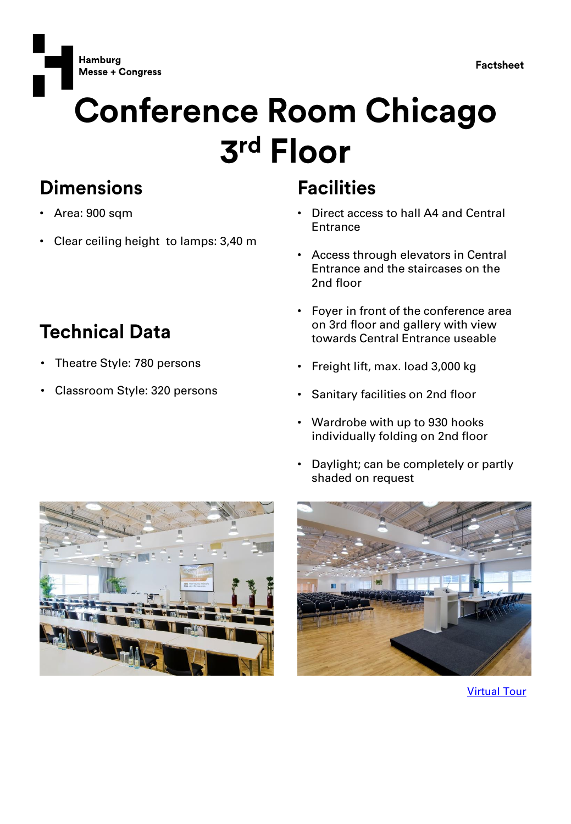

**Factsheet** 

# **Conference Room Chicago** 3rd Floor

#### **Dimensions**

- Area: 900 sqm
- Clear ceiling height to lamps: 3,40 m

### **Technical Data**

- Theatre Style: 780 persons
- Classroom Style: 320 persons

#### **Facilities**

- Direct access to hall A4 and Central **Entrance**
- Access through elevators in Central Entrance and the staircases on the 2nd floor
- Foyer in front of the conference area on 3rd floor and gallery with view towards Central Entrance useable
- Freight lift, max. load 3,000 kg
- Sanitary facilities on 2nd floor
- Wardrobe with up to 930 hooks individually folding on 2nd floor
- Daylight; can be completely or partly shaded on request





[Virtual Tour](https://www.hamburg-messe.de/rundgang/)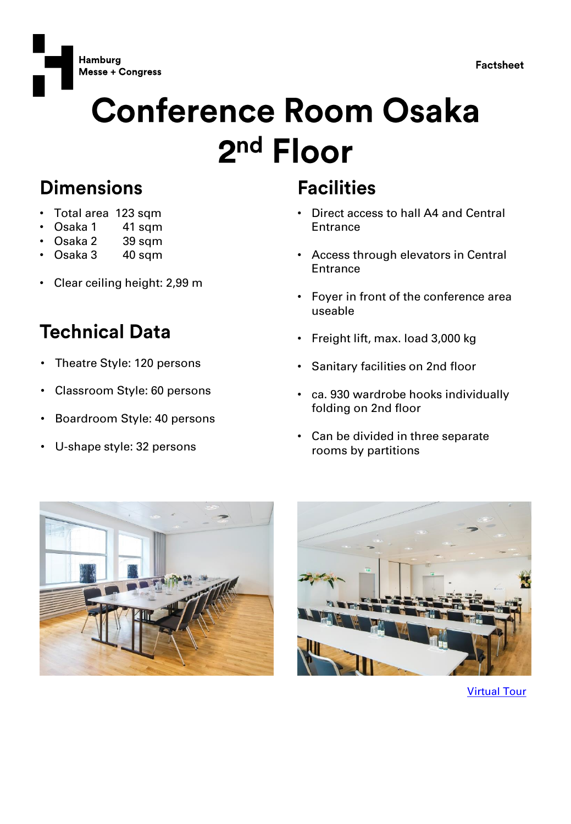

**Factsheet** 

# **Conference Room Osaka** 2<sup>nd</sup> Floor

#### **Dimensions**

- Total area 123 sqm
- Osaka 1 41 sqm
- Osaka 2 39 sqm
- Osaka 3 40 sqm
- Clear ceiling height: 2,99 m

### **Technical Data**

- Theatre Style: 120 persons
- Classroom Style: 60 persons
- Boardroom Style: 40 persons
- U-shape style: 32 persons

#### **Facilities**

- Direct access to hall A4 and Central **Entrance**
- Access through elevators in Central **Entrance**
- Foyer in front of the conference area useable
- Freight lift, max. load 3,000 kg
- Sanitary facilities on 2nd floor
- ca. 930 wardrobe hooks individually folding on 2nd floor
- Can be divided in three separate rooms by partitions





[Virtual Tour](https://www.hamburg-messe.de/rundgang/)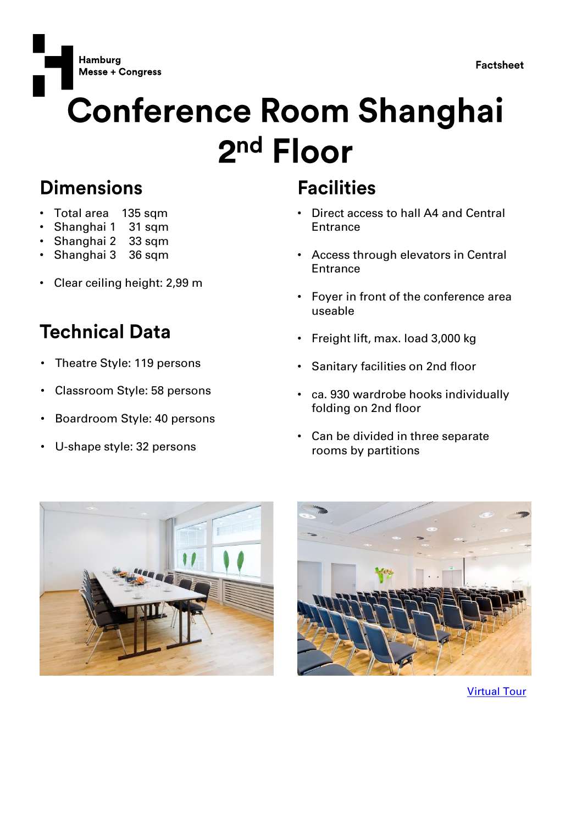

**Factsheet** 

# **Conference Room Shanghai** 2<sup>nd</sup> Floor

#### **Dimensions**

- Total area 135 sqm
- Shanghai 1 31 sqm
- Shanghai 2 33 sqm
- Shanghai 3 36 sqm
- Clear ceiling height: 2,99 m

#### **Technical Data**

- Theatre Style: 119 persons
- Classroom Style: 58 persons
- Boardroom Style: 40 persons
- U-shape style: 32 persons

#### **Facilities**

- Direct access to hall A4 and Central **Entrance**
- Access through elevators in Central **Entrance**
- Foyer in front of the conference area useable
- Freight lift, max. load 3,000 kg
- Sanitary facilities on 2nd floor
- ca. 930 wardrobe hooks individually folding on 2nd floor
- Can be divided in three separate rooms by partitions





[Virtual Tour](https://www.hamburg-messe.de/rundgang/)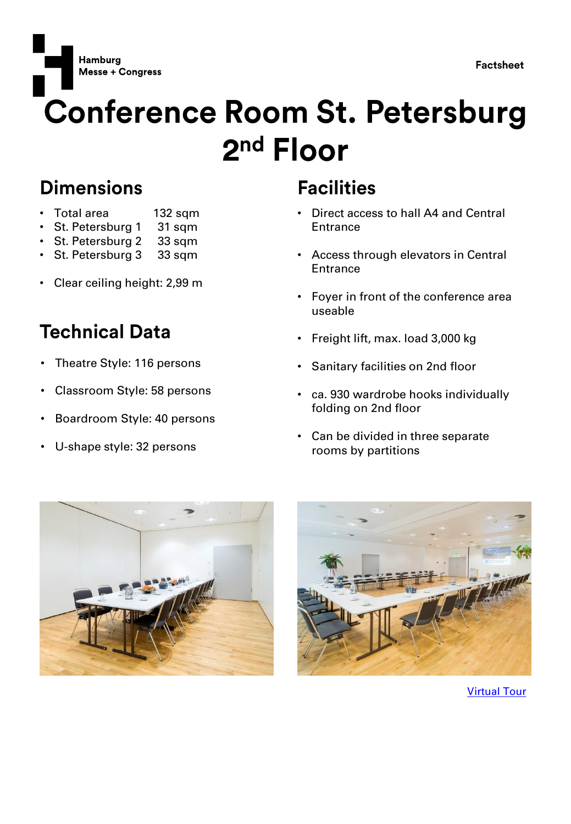

**Hamburg Messe + Congress** 

## **Conference Room St. Petersburg** 2<sup>nd</sup> Floor

#### **Dimensions**

- Total area 132 sqm
- St. Petersburg 1 31 sqm
- St. Petersburg 2 33 sqm
- St. Petersburg 3 33 sqm
- Clear ceiling height: 2,99 m

### **Technical Data**

- Theatre Style: 116 persons
- Classroom Style: 58 persons
- Boardroom Style: 40 persons
- U-shape style: 32 persons

#### **Facilities**

- Direct access to hall A4 and Central **Entrance**
- Access through elevators in Central **Entrance**
- Foyer in front of the conference area useable
- Freight lift, max. load 3,000 kg
- Sanitary facilities on 2nd floor
- ca. 930 wardrobe hooks individually folding on 2nd floor
- Can be divided in three separate rooms by partitions





[Virtual Tour](https://www.hamburg-messe.de/rundgang/)